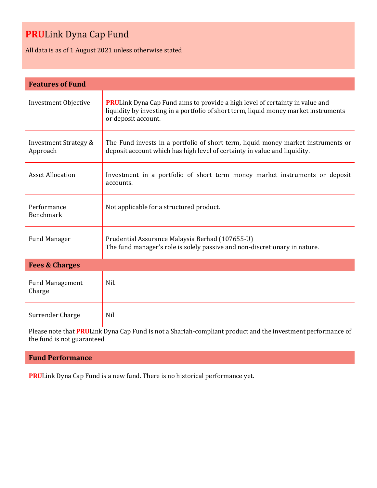## **PRU**Link Dyna Cap Fund

All data is as of 1 August 2021 unless otherwise stated

| <b>Features of Fund</b>                      |                                                                                                                                                                                                    |  |
|----------------------------------------------|----------------------------------------------------------------------------------------------------------------------------------------------------------------------------------------------------|--|
| <b>Investment Objective</b>                  | <b>PRULink Dyna Cap Fund aims to provide a high level of certainty in value and</b><br>liquidity by investing in a portfolio of short term, liquid money market instruments<br>or deposit account. |  |
| <b>Investment Strategy &amp;</b><br>Approach | The Fund invests in a portfolio of short term, liquid money market instruments or<br>deposit account which has high level of certainty in value and liquidity.                                     |  |
| <b>Asset Allocation</b>                      | Investment in a portfolio of short term money market instruments or deposit<br>accounts.                                                                                                           |  |
| Performance<br>Benchmark                     | Not applicable for a structured product.                                                                                                                                                           |  |
| <b>Fund Manager</b>                          | Prudential Assurance Malaysia Berhad (107655-U)<br>The fund manager's role is solely passive and non-discretionary in nature.                                                                      |  |
| <b>Fees &amp; Charges</b>                    |                                                                                                                                                                                                    |  |
| <b>Fund Management</b><br>Charge             | Nil.                                                                                                                                                                                               |  |
| Surrender Charge                             | Nil                                                                                                                                                                                                |  |

Please note that **PRU**Link Dyna Cap Fund is not a Shariah-compliant product and the investment performance of the fund is not guaranteed

### **Fund Performance**

**PRU**Link Dyna Cap Fund is a new fund. There is no historical performance yet.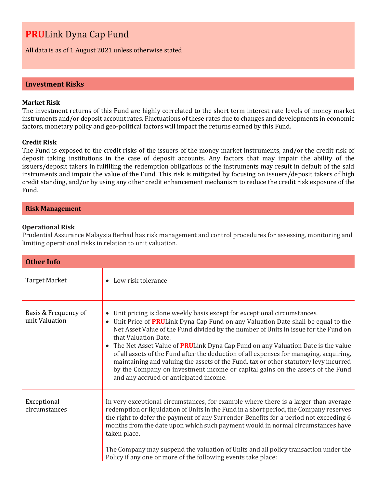## **PRU**Link Dyna Cap Fund

All data is as of 1 August 2021 unless otherwise stated

#### **Investment Risks**

#### **Market Risk**

The investment returns of this Fund are highly correlated to the short term interest rate levels of money market instruments and/or deposit account rates. Fluctuations of these rates due to changes and developments in economic factors, monetary policy and geo-political factors will impact the returns earned by this Fund.

#### **Credit Risk**

The Fund is exposed to the credit risks of the issuers of the money market instruments, and/or the credit risk of deposit taking institutions in the case of deposit accounts. Any factors that may impair the ability of the issuers/deposit takers in fulfilling the redemption obligations of the instruments may result in default of the said instruments and impair the value of the Fund. This risk is mitigated by focusing on issuers/deposit takers of high credit standing, and/or by using any other credit enhancement mechanism to reduce the credit risk exposure of the Fund.

#### **Risk Management**

#### **Operational Risk**

Prudential Assurance Malaysia Berhad has risk management and control procedures for assessing, monitoring and limiting operational risks in relation to unit valuation.

| <b>Other Info</b>                      |                                                                                                                                                                                                                                                                                                                                                                                                                                                                                                                                                                                                                                                                                                   |  |
|----------------------------------------|---------------------------------------------------------------------------------------------------------------------------------------------------------------------------------------------------------------------------------------------------------------------------------------------------------------------------------------------------------------------------------------------------------------------------------------------------------------------------------------------------------------------------------------------------------------------------------------------------------------------------------------------------------------------------------------------------|--|
| <b>Target Market</b>                   | Low risk tolerance                                                                                                                                                                                                                                                                                                                                                                                                                                                                                                                                                                                                                                                                                |  |
| Basis & Frequency of<br>unit Valuation | Unit pricing is done weekly basis except for exceptional circumstances.<br>$\bullet$<br>Unit Price of PRULink Dyna Cap Fund on any Valuation Date shall be equal to the<br>Net Asset Value of the Fund divided by the number of Units in issue for the Fund on<br>that Valuation Date.<br>• The Net Asset Value of <b>PRU</b> Link Dyna Cap Fund on any Valuation Date is the value<br>of all assets of the Fund after the deduction of all expenses for managing, acquiring,<br>maintaining and valuing the assets of the Fund, tax or other statutory levy incurred<br>by the Company on investment income or capital gains on the assets of the Fund<br>and any accrued or anticipated income. |  |
| Exceptional<br>circumstances           | In very exceptional circumstances, for example where there is a larger than average<br>redemption or liquidation of Units in the Fund in a short period, the Company reserves<br>the right to defer the payment of any Surrender Benefits for a period not exceeding 6<br>months from the date upon which such payment would in normal circumstances have<br>taken place.<br>The Company may suspend the valuation of Units and all policy transaction under the<br>Policy if any one or more of the following events take place:                                                                                                                                                                 |  |